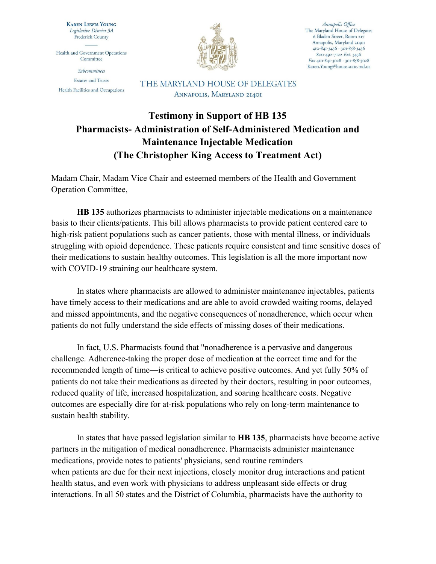**KAREN LEWIS YOUNG** Legislative District 3A **Frederick County** 

Health and Government Operations Committee

Subcommittees **Estates and Trusts** Health Facilities and Occupations



Annapolis Office The Maryland House of Delegates 6 Bladen Street, Room 217 Annapolis, Maryland 21401 410-841-3436 · 301-858-3436 800-492-7122 Ext. 3436 Fax 410-841-3028 · 301-858-3028 Karen.Young@house.state.md.us

THE MARYLAND HOUSE OF DELEGATES ANNAPOLIS, MARYLAND 21401

## **Testimony in Support of HB 135 Pharmacists- Administration of Self-Administered Medication and Maintenance Injectable Medication (The Christopher King Access to Treatment Act)**

Madam Chair, Madam Vice Chair and esteemed members of the Health and Government Operation Committee,

**HB 135** authorizes pharmacists to administer injectable medications on a maintenance basis to their clients/patients. This bill allows pharmacists to provide patient centered care to high-risk patient populations such as cancer patients, those with mental illness, or individuals struggling with opioid dependence. These patients require consistent and time sensitive doses of their medications to sustain healthy outcomes. This legislation is all the more important now with COVID-19 straining our healthcare system.

In states where pharmacists are allowed to administer maintenance injectables, patients have timely access to their medications and are able to avoid crowded waiting rooms, delayed and missed appointments, and the negative consequences of nonadherence, which occur when patients do not fully understand the side effects of missing doses of their medications.

In fact, U.S. Pharmacists found that "nonadherence is a pervasive and dangerous challenge. Adherence-taking the proper dose of medication at the correct time and for the recommended length of time—is critical to achieve positive outcomes. And yet fully 50% of patients do not take their medications as directed by their doctors, resulting in poor outcomes, reduced quality of life, increased hospitalization, and soaring healthcare costs. Negative outcomes are especially dire for at-risk populations who rely on long-term maintenance to sustain health stability.

In states that have passed legislation similar to **HB 135**, pharmacists have become active partners in the mitigation of medical nonadherence. Pharmacists administer maintenance medications, provide notes to patients' physicians, send routine reminders when patients are due for their next injections, closely monitor drug interactions and patient health status, and even work with physicians to address unpleasant side effects or drug interactions. In all 50 states and the District of Columbia, pharmacists have the authority to